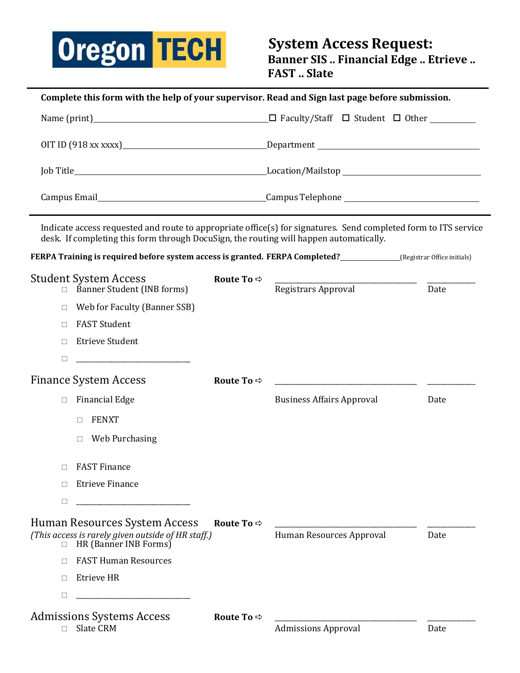

| Complete this form with the help of your supervisor. Read and Sign last page before submission.                                                                                                                                     |                            |                                  |      |  |  |
|-------------------------------------------------------------------------------------------------------------------------------------------------------------------------------------------------------------------------------------|----------------------------|----------------------------------|------|--|--|
|                                                                                                                                                                                                                                     |                            |                                  |      |  |  |
|                                                                                                                                                                                                                                     |                            |                                  |      |  |  |
|                                                                                                                                                                                                                                     |                            |                                  |      |  |  |
| Campus Email <b>Exampus Email</b> Campus Email Campus Email Campus Email Campus Email Campus Email Campus Email Campus Email Campus Email Campus Email Campus Email Campus Email Campus Email Campus Email Campus Email Campus Emai |                            |                                  |      |  |  |
| Indicate access requested and route to appropriate office(s) for signatures. Send completed form to ITS service<br>desk. If completing this form through DocuSign, the routing will happen automatically.                           |                            |                                  |      |  |  |
| <b>FERPA Training is required before system access is granted. FERPA Completed?</b> (Registrar Office initials)                                                                                                                     |                            |                                  |      |  |  |
| <b>Student System Access</b><br>Banner Student (INB forms)                                                                                                                                                                          | Route To $\Leftrightarrow$ | Registrars Approval              | Date |  |  |
| Web for Faculty (Banner SSB)<br>П                                                                                                                                                                                                   |                            |                                  |      |  |  |
| <b>FAST Student</b><br>П                                                                                                                                                                                                            |                            |                                  |      |  |  |
| <b>Etrieve Student</b><br>П                                                                                                                                                                                                         |                            |                                  |      |  |  |
| □<br><u> 1989 - Johann John Stein, mars ar breithinn ar breithinn ar breithinn ar breithinn ar breithinn ar breithinn </u>                                                                                                          |                            |                                  |      |  |  |
| <b>Finance System Access</b>                                                                                                                                                                                                        | Route To $\Rightarrow$     |                                  |      |  |  |
| <b>Financial Edge</b><br>$\Box$                                                                                                                                                                                                     |                            | <b>Business Affairs Approval</b> | Date |  |  |
| <b>FENXT</b><br>П                                                                                                                                                                                                                   |                            |                                  |      |  |  |
| Web Purchasing<br>$\Box$                                                                                                                                                                                                            |                            |                                  |      |  |  |
| <b>FAST Finance</b><br>П                                                                                                                                                                                                            |                            |                                  |      |  |  |
| <b>Etrieve Finance</b><br>П                                                                                                                                                                                                         |                            |                                  |      |  |  |
| □                                                                                                                                                                                                                                   |                            |                                  |      |  |  |
| Human Resources System Access<br>(This access is rarely given outside of HR staff.)<br>HR (Banner INB Forms)<br>$\Box$                                                                                                              | Route To $\Rightarrow$     | Human Resources Approval         | Date |  |  |
| <b>FAST Human Resources</b><br>П                                                                                                                                                                                                    |                            |                                  |      |  |  |
| Etrieve HR<br>П                                                                                                                                                                                                                     |                            |                                  |      |  |  |
| □                                                                                                                                                                                                                                   |                            |                                  |      |  |  |
| <b>Admissions Systems Access</b>                                                                                                                                                                                                    | Route To $\Rightarrow$     |                                  |      |  |  |
| Slate CRM<br>П                                                                                                                                                                                                                      |                            | <b>Admissions Approval</b>       | Date |  |  |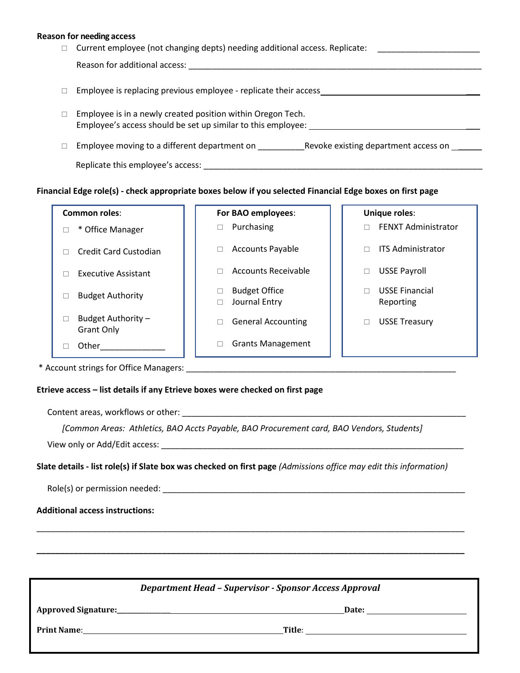#### **Reason for needing access**

| □ | Current employee (not changing depts) needing additional access. Replicate:                                                 |  |  |
|---|-----------------------------------------------------------------------------------------------------------------------------|--|--|
|   | Reason for additional access:                                                                                               |  |  |
|   | Employee is replacing previous employee - replicate their access                                                            |  |  |
|   | Employee is in a newly created position within Oregon Tech.<br>Employee's access should be set up similar to this employee: |  |  |
|   | Revoke existing department access on<br>Employee moving to a different department on                                        |  |  |
|   | Replicate this employee's access:                                                                                           |  |  |

### **Financial Edge role(s) - check appropriate boxes below if you selected Financial Edge boxes on first page**

#### **Common roles**: **For BAO employees**: **Unique roles**:

 $\Box$  Credit Card Custodian  $\Box$   $\Box$  Accounts Payable  $\Box$   $\Box$  ITS Administrator

 $\Box$  Executive Assistant  $\Box$   $\Box$  Accounts Receivable  $\Box$  USSE Payroll

- $\Box$  Budget Authority  $\Box$  Budget Office □ Journal Entry
	-
	-
- Other\_\_\_\_\_\_\_\_\_\_\_\_\_\_ Grants Management

- $\Box$  \* Office Manager  $\Box$  Purchasing  $\Box$  Purchasing  $\Box$  FENXT Administrator
	-
	-
	- USSE Financial Reporting
	- $\Box$  General Accounting  $\Box$   $\Box$  USSE Treasury

\* Account strings for Office Managers: \_\_\_\_\_\_\_\_\_\_\_\_\_\_\_\_\_\_\_\_\_\_\_\_\_\_\_\_\_\_\_\_\_\_\_\_\_\_\_\_\_\_\_\_\_\_\_\_\_\_\_\_\_\_\_\_\_\_

 $\Box$  Budget Authority – Grant Only

### **Etrieve access – list details if any Etrieve boxes were checked on first page**

Content areas, workflows or other: \_\_\_\_\_\_\_\_\_\_\_\_\_\_\_\_\_\_\_\_\_\_\_\_\_\_\_\_\_\_\_\_\_\_\_\_\_\_\_\_\_\_\_\_\_\_\_\_\_\_\_\_\_\_\_\_\_\_\_\_\_

 *[Common Areas: Athletics, BAO Accts Payable, BAO Procurement card, BAO Vendors, Students]* 

View only or Add/Edit access: \_\_\_\_\_\_\_\_\_\_\_\_\_\_\_\_\_\_\_\_\_\_\_\_\_\_\_\_\_\_\_\_\_\_\_\_\_\_\_\_\_\_\_\_\_\_\_\_\_\_\_\_\_\_\_\_\_\_\_\_\_\_\_\_\_

**Slate details - list role(s) if Slate box was checked on first page** *(Admissions office may edit this information)*

\_\_\_\_\_\_\_\_\_\_\_\_\_\_\_\_\_\_\_\_\_\_\_\_\_\_\_\_\_\_\_\_\_\_\_\_\_\_\_\_\_\_\_\_\_\_\_\_\_\_\_\_\_\_\_\_\_\_\_\_\_\_\_\_\_\_\_\_\_\_\_\_\_\_\_\_\_\_\_\_\_\_\_\_\_\_\_\_\_\_\_\_

**\_\_\_\_\_\_\_\_\_\_\_\_\_\_\_\_\_\_\_\_\_\_\_\_\_\_\_\_\_\_\_\_\_\_\_\_\_\_\_\_\_\_\_\_\_\_\_\_\_\_\_\_\_\_\_\_\_\_\_\_\_\_\_\_\_\_\_\_\_\_\_\_\_\_\_\_\_\_\_\_\_\_\_\_\_\_\_\_\_\_\_\_**

Role(s) or permission needed: \_\_\_\_\_\_\_\_\_\_\_\_\_\_\_\_\_\_\_\_\_\_\_\_\_\_\_\_\_\_\_\_\_\_\_\_\_\_\_\_\_\_\_\_\_\_\_\_\_\_\_\_\_\_\_\_\_\_\_\_\_\_\_\_\_

### **Additional access instructions:**

| <b>Department Head - Supervisor - Sponsor Access Approval</b>                                                                                                                                                                      |        |  |  |  |
|------------------------------------------------------------------------------------------------------------------------------------------------------------------------------------------------------------------------------------|--------|--|--|--|
|                                                                                                                                                                                                                                    | Date:  |  |  |  |
| <b>Print Name:</b> The contract of the contract of the contract of the contract of the contract of the contract of the contract of the contract of the contract of the contract of the contract of the contract of the contract of | Title: |  |  |  |